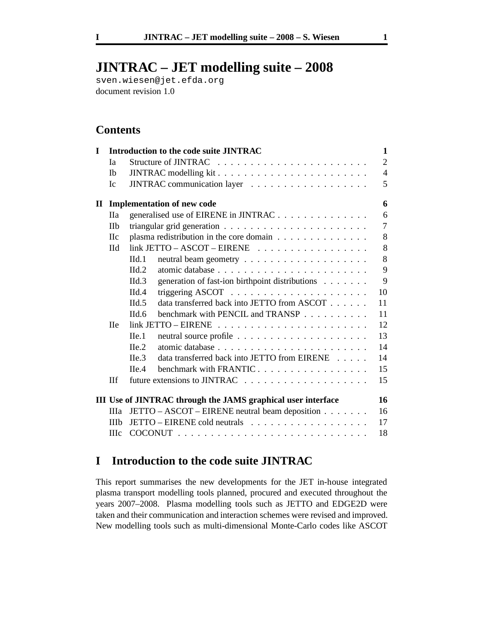# **JINTRAC – JET modelling suite – 2008**

sven.wiesen@jet.efda.org document revision 1.0

# **Contents**

|              |                                                                             | 1                                                                                                                                           |
|--------------|-----------------------------------------------------------------------------|---------------------------------------------------------------------------------------------------------------------------------------------|
| Ia           |                                                                             | $\overline{2}$                                                                                                                              |
| <b>Ib</b>    |                                                                             | $\overline{4}$                                                                                                                              |
| Ic           |                                                                             | 5                                                                                                                                           |
|              |                                                                             | 6                                                                                                                                           |
| <b>IIa</b>   | generalised use of EIRENE in JINTRAC                                        | 6                                                                                                                                           |
| <b>IIb</b>   |                                                                             | $\overline{7}$                                                                                                                              |
| <b>IIc</b>   | plasma redistribution in the core domain                                    | 8                                                                                                                                           |
| $Id$         | $link JETTO - ASCOT - EIRENE$                                               | 8                                                                                                                                           |
|              | $\mathrm{Hd}_1$                                                             | 8                                                                                                                                           |
|              | $Id.2$                                                                      | 9                                                                                                                                           |
|              | generation of fast-ion birthpoint distributions<br>$\mathrm{Hd}.\mathrm{3}$ | 9                                                                                                                                           |
|              | Hd.4                                                                        | 10                                                                                                                                          |
|              | data transferred back into JETTO from ASCOT<br>Hd.5                         | 11                                                                                                                                          |
|              | benchmark with PENCIL and TRANSP<br>$\Pi$ d.6                               | 11                                                                                                                                          |
| <b>IIe</b>   | $link$ JETTO – EIRENE $\ldots \ldots \ldots \ldots \ldots \ldots \ldots$    | 12                                                                                                                                          |
|              | $\text{He}.1$                                                               | 13                                                                                                                                          |
|              | $\text{He}.2$                                                               | 14                                                                                                                                          |
|              | data transferred back into JETTO from EIRENE<br>$\text{He.3}$               | 14                                                                                                                                          |
|              | benchmark with FRANTIC.<br>He.4                                             | 15                                                                                                                                          |
| <b>IIf</b>   |                                                                             | 15                                                                                                                                          |
|              |                                                                             | 16                                                                                                                                          |
| Шa           | JETTO – ASCOT – EIRENE neutral beam deposition                              | 16                                                                                                                                          |
| <b>IIIb</b>  |                                                                             | 17                                                                                                                                          |
| <b>III</b> c |                                                                             | 18                                                                                                                                          |
|              |                                                                             | Introduction to the code suite JINTRAC<br><b>Implementation of new code</b><br>III Use of JINTRAC through the JAMS graphical user interface |

# **I Introduction to the code suite JINTRAC**

This report summarises the new developments for the JET in-house integrated plasma transport modelling tools planned, procured and executed throughout the years 2007–2008. Plasma modelling tools such as JETTO and EDGE2D were taken and their communication and interaction schemes were revised and improved. New modelling tools such as multi-dimensional Monte-Carlo codes like ASCOT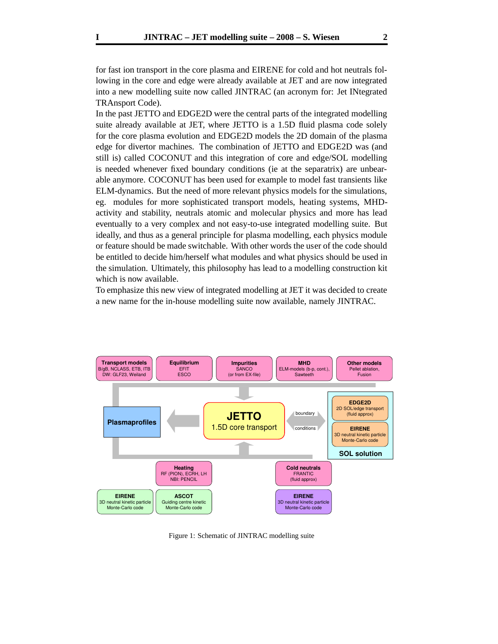for fast ion transport in the core plasma and EIRENE for cold and hot neutrals following in the core and edge were already available at JET and are now integrated into a new modelling suite now called JINTRAC (an acronym for: Jet INtegrated TRAnsport Code).

In the past JETTO and EDGE2D were the central parts of the integrated modelling suite already available at JET, where JETTO is a 1.5D fluid plasma code solely for the core plasma evolution and EDGE2D models the 2D domain of the plasma edge for divertor machines. The combination of JETTO and EDGE2D was (and still is) called COCONUT and this integration of core and edge/SOL modelling is needed whenever fixed boundary conditions (ie at the separatrix) are unbearable anymore. COCONUT has been used for example to model fast transients like ELM-dynamics. But the need of more relevant physics models for the simulations, eg. modules for more sophisticated transport models, heating systems, MHDactivity and stability, neutrals atomic and molecular physics and more has lead eventually to a very complex and not easy-to-use integrated modelling suite. But ideally, and thus as a general principle for plasma modelling, each physics module or feature should be made switchable. With other words the user of the code should be entitled to decide him/herself what modules and what physics should be used in the simulation. Ultimately, this philosophy has lead to a modelling construction kit which is now available.

To emphasize this new view of integrated modelling at JET it was decided to create a new name for the in-house modelling suite now available, namely JINTRAC.



Figure 1: Schematic of JINTRAC modelling suite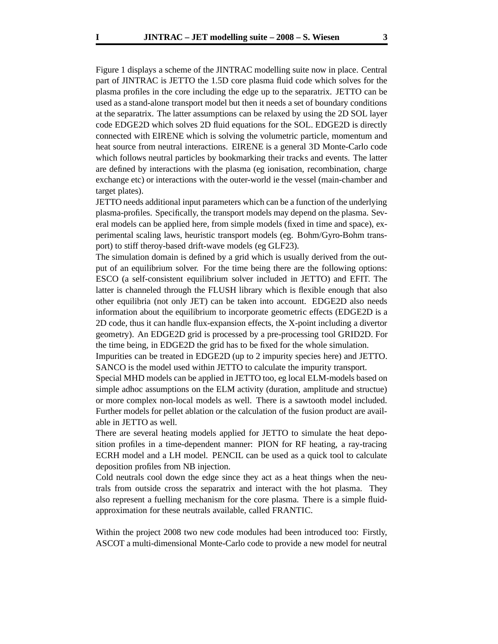Figure 1 displays a scheme of the JINTRAC modelling suite now in place. Central part of JINTRAC is JETTO the 1.5D core plasma fluid code which solves for the plasma profiles in the core including the edge up to the separatrix. JETTO can be used as a stand-alone transport model but then it needs a set of boundary conditions at the separatrix. The latter assumptions can be relaxed by using the 2D SOL layer code EDGE2D which solves 2D fluid equations for the SOL. EDGE2D is directly connected with EIRENE which is solving the volumetric particle, momentum and heat source from neutral interactions. EIRENE is a general 3D Monte-Carlo code which follows neutral particles by bookmarking their tracks and events. The latter are defined by interactions with the plasma (eg ionisation, recombination, charge exchange etc) or interactions with the outer-world ie the vessel (main-chamber and target plates).

JETTO needs additional input parameters which can be a function of the underlying plasma-profiles. Specifically, the transport models may depend on the plasma. Several models can be applied here, from simple models (fixed in time and space), experimental scaling laws, heuristic transport models (eg. Bohm/Gyro-Bohm transport) to stiff theroy-based drift-wave models (eg GLF23).

The simulation domain is defined by a grid which is usually derived from the output of an equilibrium solver. For the time being there are the following options: ESCO (a self-consistent equilibrium solver included in JETTO) and EFIT. The latter is channeled through the FLUSH library which is flexible enough that also other equilibria (not only JET) can be taken into account. EDGE2D also needs information about the equilibrium to incorporate geometric effects (EDGE2D is a 2D code, thus it can handle flux-expansion effects, the X-point including a divertor geometry). An EDGE2D grid is processed by a pre-processing tool GRID2D. For the time being, in EDGE2D the grid has to be fixed for the whole simulation.

Impurities can be treated in EDGE2D (up to 2 impurity species here) and JETTO. SANCO is the model used within JETTO to calculate the impurity transport.

Special MHD models can be applied in JETTO too, eg local ELM-models based on simple adhoc assumptions on the ELM activity (duration, amplitude and structue) or more complex non-local models as well. There is a sawtooth model included. Further models for pellet ablation or the calculation of the fusion product are available in JETTO as well.

There are several heating models applied for JETTO to simulate the heat deposition profiles in a time-dependent manner: PION for RF heating, a ray-tracing ECRH model and a LH model. PENCIL can be used as a quick tool to calculate deposition profiles from NB injection.

Cold neutrals cool down the edge since they act as a heat things when the neutrals from outside cross the separatrix and interact with the hot plasma. They also represent a fuelling mechanism for the core plasma. There is a simple fluidapproximation for these neutrals available, called FRANTIC.

Within the project 2008 two new code modules had been introduced too: Firstly, ASCOT a multi-dimensional Monte-Carlo code to provide a new model for neutral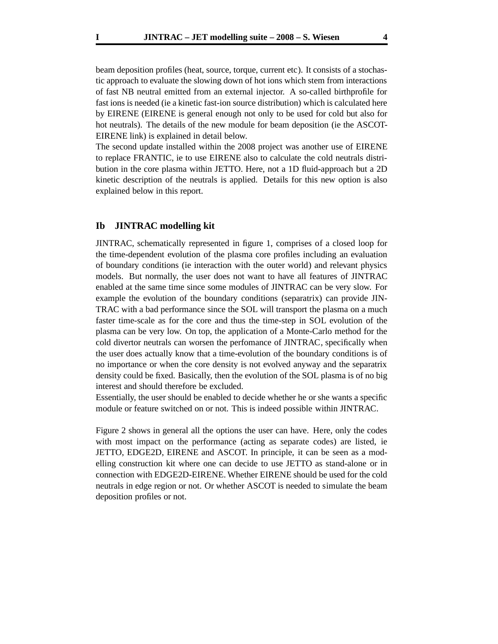beam deposition profiles (heat, source, torque, current etc). It consists of a stochastic approach to evaluate the slowing down of hot ions which stem from interactions of fast NB neutral emitted from an external injector. A so-called birthprofile for fast ions is needed (ie a kinetic fast-ion source distribution) which is calculated here by EIRENE (EIRENE is general enough not only to be used for cold but also for hot neutrals). The details of the new module for beam deposition (ie the ASCOT-EIRENE link) is explained in detail below.

The second update installed within the 2008 project was another use of EIRENE to replace FRANTIC, ie to use EIRENE also to calculate the cold neutrals distribution in the core plasma within JETTO. Here, not a 1D fluid-approach but a 2D kinetic description of the neutrals is applied. Details for this new option is also explained below in this report.

## **Ib JINTRAC modelling kit**

JINTRAC, schematically represented in figure 1, comprises of a closed loop for the time-dependent evolution of the plasma core profiles including an evaluation of boundary conditions (ie interaction with the outer world) and relevant physics models. But normally, the user does not want to have all features of JINTRAC enabled at the same time since some modules of JINTRAC can be very slow. For example the evolution of the boundary conditions (separatrix) can provide JIN-TRAC with a bad performance since the SOL will transport the plasma on a much faster time-scale as for the core and thus the time-step in SOL evolution of the plasma can be very low. On top, the application of a Monte-Carlo method for the cold divertor neutrals can worsen the perfomance of JINTRAC, specifically when the user does actually know that a time-evolution of the boundary conditions is of no importance or when the core density is not evolved anyway and the separatrix density could be fixed. Basically, then the evolution of the SOL plasma is of no big interest and should therefore be excluded.

Essentially, the user should be enabled to decide whether he or she wants a specific module or feature switched on or not. This is indeed possible within JINTRAC.

Figure 2 shows in general all the options the user can have. Here, only the codes with most impact on the performance (acting as separate codes) are listed, ie JETTO, EDGE2D, EIRENE and ASCOT. In principle, it can be seen as a modelling construction kit where one can decide to use JETTO as stand-alone or in connection with EDGE2D-EIRENE. Whether EIRENE should be used for the cold neutrals in edge region or not. Or whether ASCOT is needed to simulate the beam deposition profiles or not.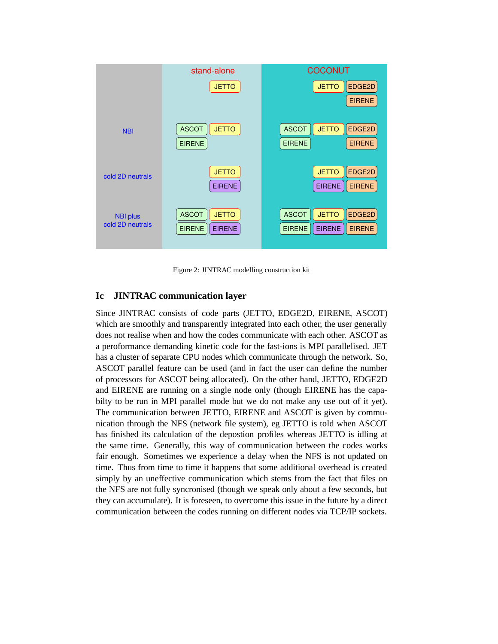

Figure 2: JINTRAC modelling construction kit

# **Ic JINTRAC communication layer**

Since JINTRAC consists of code parts (JETTO, EDGE2D, EIRENE, ASCOT) which are smoothly and transparently integrated into each other, the user generally does not realise when and how the codes communicate with each other. ASCOT as a peroformance demanding kinetic code for the fast-ions is MPI parallelised. JET has a cluster of separate CPU nodes which communicate through the network. So, ASCOT parallel feature can be used (and in fact the user can define the number of processors for ASCOT being allocated). On the other hand, JETTO, EDGE2D and EIRENE are running on a single node only (though EIRENE has the capabilty to be run in MPI parallel mode but we do not make any use out of it yet). The communication between JETTO, EIRENE and ASCOT is given by communication through the NFS (network file system), eg JETTO is told when ASCOT has finished its calculation of the depostion profiles whereas JETTO is idling at the same time. Generally, this way of communication between the codes works fair enough. Sometimes we experience a delay when the NFS is not updated on time. Thus from time to time it happens that some additional overhead is created simply by an uneffective communication which stems from the fact that files on the NFS are not fully syncronised (though we speak only about a few seconds, but they can accumulate). It is foreseen, to overcome this issue in the future by a direct communication between the codes running on different nodes via TCP/IP sockets.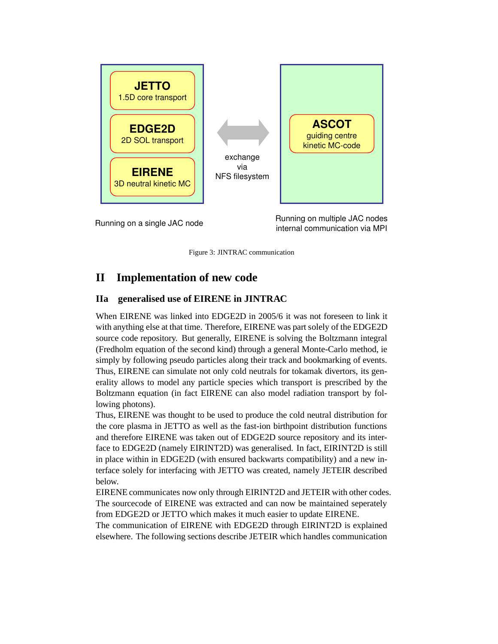

Running on a single JAC node<br>
internal communication via MPL internal communication via MPI

Figure 3: JINTRAC communication

# **II Implementation of new code**

# **IIa generalised use of EIRENE in JINTRAC**

When EIRENE was linked into EDGE2D in 2005/6 it was not foreseen to link it with anything else at that time. Therefore, EIRENE was part solely of the EDGE2D source code repository. But generally, EIRENE is solving the Boltzmann integral (Fredholm equation of the second kind) through a general Monte-Carlo method, ie simply by following pseudo particles along their track and bookmarking of events. Thus, EIRENE can simulate not only cold neutrals for tokamak divertors, its generality allows to model any particle species which transport is prescribed by the Boltzmann equation (in fact EIRENE can also model radiation transport by following photons).

Thus, EIRENE was thought to be used to produce the cold neutral distribution for the core plasma in JETTO as well as the fast-ion birthpoint distribution functions and therefore EIRENE was taken out of EDGE2D source repository and its interface to EDGE2D (namely EIRINT2D) was generalised. In fact, EIRINT2D is still in place within in EDGE2D (with ensured backwarts compatibility) and a new interface solely for interfacing with JETTO was created, namely JETEIR described below.

EIRENE communicates now only through EIRINT2D and JETEIR with other codes. The sourcecode of EIRENE was extracted and can now be maintained seperately from EDGE2D or JETTO which makes it much easier to update EIRENE.

The communication of EIRENE with EDGE2D through EIRINT2D is explained elsewhere. The following sections describe JETEIR which handles communication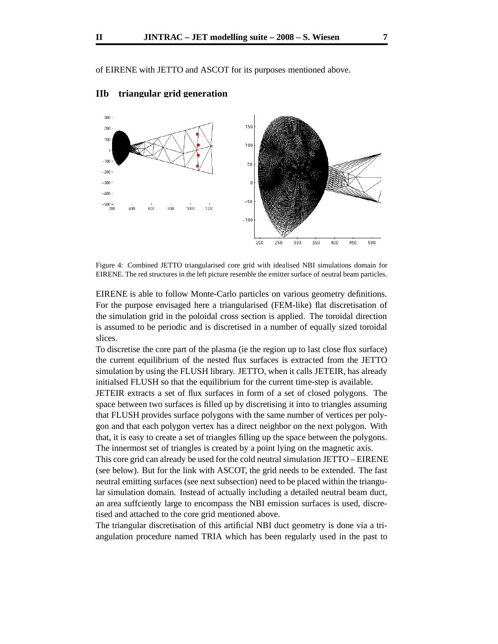of EIRENE with JETTO and ASCOT for its purposes mentioned above.



# **IIb triangular grid generation**

Figure 4: Combined JETTO triangularised core grid with idealised NBI simulations domain for EIRENE. The red structures in the left picture resemble the emitter surface of neutral beam particles.

EIRENE is able to follow Monte-Carlo particles on various geometry definitions. For the purpose envisaged here a triangularised (FEM-like) flat discretisation of the simulation grid in the poloidal cross section is applied. The toroidal direction is assumed to be periodic and is discretised in a number of equally sized toroidal slices.

To discretise the core part of the plasma (ie the region up to last close flux surface) the current equilibrium of the nested flux surfaces is extracted from the JETTO simulation by using the FLUSH library. JETTO, when it calls JETEIR, has already initialsed FLUSH so that the equilibrium for the current time-step is available.

JETEIR extracts a set of flux surfaces in form of a set of closed polygons. The space between two surfaces is filled up by discretising it into to triangles assuming that FLUSH provides surface polygons with the same number of vertices per polygon and that each polygon vertex has a direct neighbor on the next polygon. With that, it is easy to create a set of triangles filling up the space between the polygons. The innermost set of triangles is created by a point lying on the magnetic axis.

This core grid can already be used for the cold neutral simulation JETTO – EIRENE (see below). But for the link with ASCOT, the grid needs to be extended. The fast neutral emitting surfaces (see next subsection) need to be placed within the triangular simulation domain. Instead of actually including a detailed neutral beam duct, an area suffciently large to encompass the NBI emission surfaces is used, discretised and attached to the core grid mentioned above.

The triangular discretisation of this artificial NBI duct geometry is done via a triangulation procedure named TRIA which has been regularly used in the past to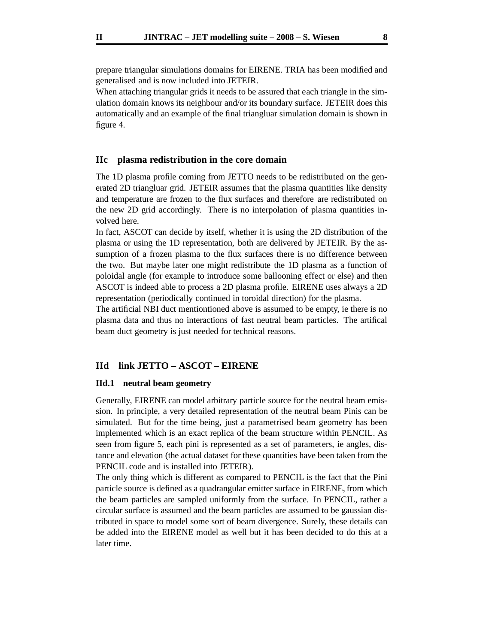prepare triangular simulations domains for EIRENE. TRIA has been modified and generalised and is now included into JETEIR.

When attaching triangular grids it needs to be assured that each triangle in the simulation domain knows its neighbour and/or its boundary surface. JETEIR does this automatically and an example of the final triangluar simulation domain is shown in figure 4.

## **IIc plasma redistribution in the core domain**

The 1D plasma profile coming from JETTO needs to be redistributed on the generated 2D triangluar grid. JETEIR assumes that the plasma quantities like density and temperature are frozen to the flux surfaces and therefore are redistributed on the new 2D grid accordingly. There is no interpolation of plasma quantities involved here.

In fact, ASCOT can decide by itself, whether it is using the 2D distribution of the plasma or using the 1D representation, both are delivered by JETEIR. By the assumption of a frozen plasma to the flux surfaces there is no difference between the two. But maybe later one might redistribute the 1D plasma as a function of poloidal angle (for example to introduce some ballooning effect or else) and then ASCOT is indeed able to process a 2D plasma profile. EIRENE uses always a 2D representation (periodically continued in toroidal direction) for the plasma.

The artificial NBI duct mentiontioned above is assumed to be empty, ie there is no plasma data and thus no interactions of fast neutral beam particles. The artifical beam duct geometry is just needed for technical reasons.

## **IId link JETTO – ASCOT – EIRENE**

#### **IId.1 neutral beam geometry**

Generally, EIRENE can model arbitrary particle source for the neutral beam emission. In principle, a very detailed representation of the neutral beam Pinis can be simulated. But for the time being, just a parametrised beam geometry has been implemented which is an exact replica of the beam structure within PENCIL. As seen from figure 5, each pini is represented as a set of parameters, ie angles, distance and elevation (the actual dataset for these quantities have been taken from the PENCIL code and is installed into JETEIR).

The only thing which is different as compared to PENCIL is the fact that the Pini particle source is defined as a quadrangular emitter surface in EIRENE, from which the beam particles are sampled uniformly from the surface. In PENCIL, rather a circular surface is assumed and the beam particles are assumed to be gaussian distributed in space to model some sort of beam divergence. Surely, these details can be added into the EIRENE model as well but it has been decided to do this at a later time.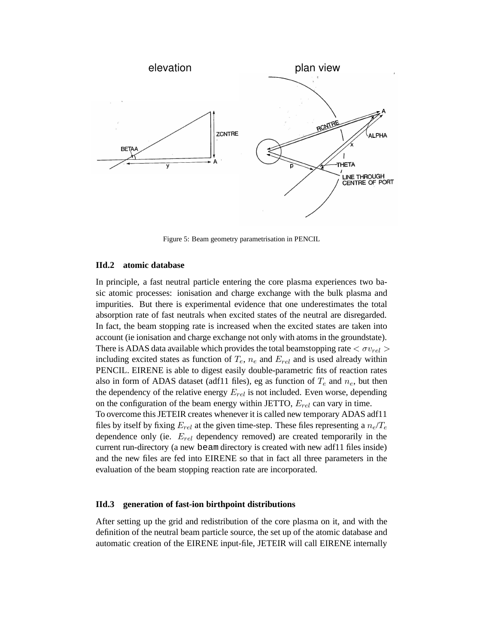

Figure 5: Beam geometry parametrisation in PENCIL

#### **IId.2 atomic database**

In principle, a fast neutral particle entering the core plasma experiences two basic atomic processes: ionisation and charge exchange with the bulk plasma and impurities. But there is experimental evidence that one underestimates the total absorption rate of fast neutrals when excited states of the neutral are disregarded. In fact, the beam stopping rate is increased when the excited states are taken into account (ie ionisation and charge exchange not only with atoms in the groundstate). There is ADAS data available which provides the total beamstopping rate  $\langle \sigma v_{rel} \rangle$ including excited states as function of  $T_e$ ,  $n_e$  and  $E_{rel}$  and is used already within PENCIL. EIRENE is able to digest easily double-parametric fits of reaction rates also in form of ADAS dataset (adf11 files), eg as function of  $T_e$  and  $n_e$ , but then the dependency of the relative energy  $E_{rel}$  is not included. Even worse, depending on the configuration of the beam energy within JETTO,  $E_{rel}$  can vary in time. To overcome this JETEIR creates whenever it is called new temporary ADAS adf11 files by itself by fixing  $E_{rel}$  at the given time-step. These files representing a  $n_e/T_e$ dependence only (ie.  $E_{rel}$  dependency removed) are created temporarily in the current run-directory (a new beam directory is created with new adf11 files inside) and the new files are fed into EIRENE so that in fact all three parameters in the evaluation of the beam stopping reaction rate are incorporated.

## **IId.3 generation of fast-ion birthpoint distributions**

After setting up the grid and redistribution of the core plasma on it, and with the definition of the neutral beam particle source, the set up of the atomic database and automatic creation of the EIRENE input-file, JETEIR will call EIRENE internally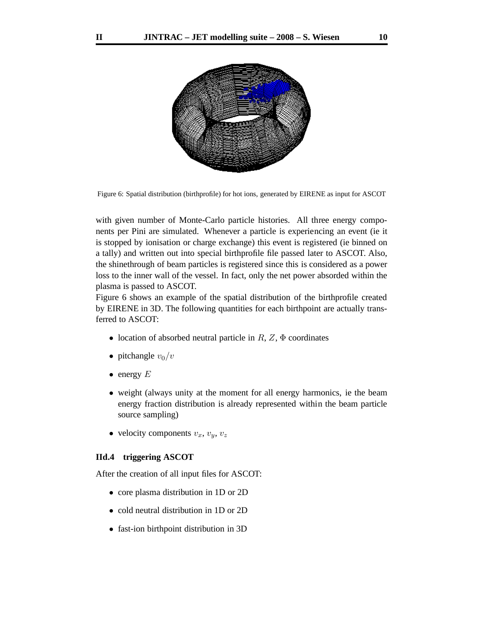

Figure 6: Spatial distribution (birthprofile) for hot ions, generated by EIRENE as input for ASCOT

with given number of Monte-Carlo particle histories. All three energy components per Pini are simulated. Whenever a particle is experiencing an event (ie it is stopped by ionisation or charge exchange) this event is registered (ie binned on a tally) and written out into special birthprofile file passed later to ASCOT. Also, the shinethrough of beam particles is registered since this is considered as a power loss to the inner wall of the vessel. In fact, only the net power absorded within the plasma is passed to ASCOT.

Figure 6 shows an example of the spatial distribution of the birthprofile created by EIRENE in 3D. The following quantities for each birthpoint are actually transferred to ASCOT:

- location of absorbed neutral particle in  $R$ ,  $Z$ ,  $\Phi$  coordinates
- pitchangle  $v_0/v$
- $\bullet$  energy  $E$
- weight (always unity at the moment for all energy harmonics, ie the beam energy fraction distribution is already represented within the beam particle source sampling)
- velocity components  $v_x$ ,  $v_y$ ,  $v_z$

#### **IId.4 triggering ASCOT**

After the creation of all input files for ASCOT:

- core plasma distribution in 1D or 2D
- cold neutral distribution in 1D or 2D
- fast-ion birthpoint distribution in 3D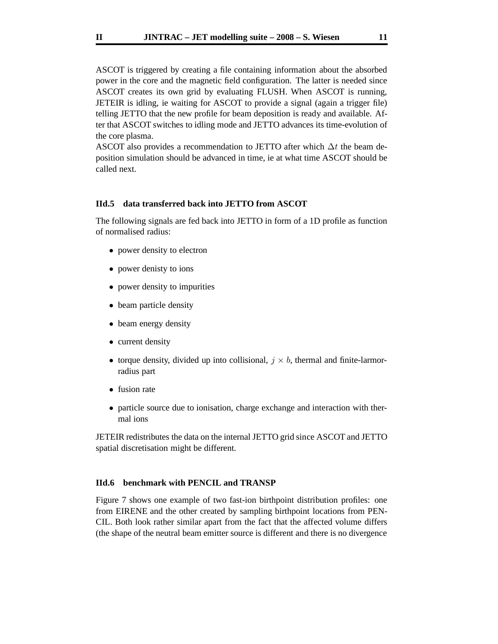ASCOT is triggered by creating a file containing information about the absorbed power in the core and the magnetic field configuration. The latter is needed since ASCOT creates its own grid by evaluating FLUSH. When ASCOT is running, JETEIR is idling, ie waiting for ASCOT to provide a signal (again a trigger file) telling JETTO that the new profile for beam deposition is ready and available. After that ASCOT switches to idling mode and JETTO advances its time-evolution of the core plasma.

ASCOT also provides a recommendation to JETTO after which  $\Delta t$  the beam deposition simulation should be advanced in time, ie at what time ASCOT should be called next.

#### **IId.5 data transferred back into JETTO from ASCOT**

The following signals are fed back into JETTO in form of a 1D profile as function of normalised radius:

- power density to electron
- power denisty to ions
- power density to impurities
- beam particle density
- beam energy density
- current density
- torque density, divided up into collisional,  $j \times b$ , thermal and finite-larmorradius part
- fusion rate
- particle source due to ionisation, charge exchange and interaction with thermal ions

JETEIR redistributes the data on the internal JETTO grid since ASCOT and JETTO spatial discretisation might be different.

### **IId.6 benchmark with PENCIL and TRANSP**

Figure 7 shows one example of two fast-ion birthpoint distribution profiles: one from EIRENE and the other created by sampling birthpoint locations from PEN-CIL. Both look rather similar apart from the fact that the affected volume differs (the shape of the neutral beam emitter source is different and there is no divergence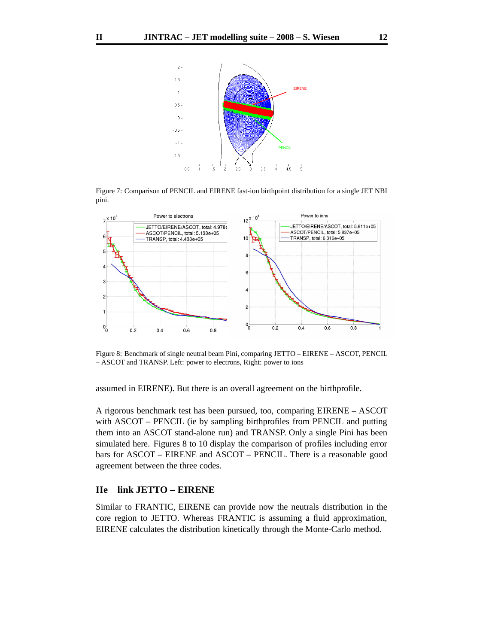

Figure 7: Comparison of PENCIL and EIRENE fast-ion birthpoint distribution for a single JET NBI pini.



Figure 8: Benchmark of single neutral beam Pini, comparing JETTO – EIRENE – ASCOT, PENCIL – ASCOT and TRANSP. Left: power to electrons, Right: power to ions

assumed in EIRENE). But there is an overall agreement on the birthprofile.

A rigorous benchmark test has been pursued, too, comparing EIRENE – ASCOT with ASCOT – PENCIL (ie by sampling birthprofiles from PENCIL and putting them into an ASCOT stand-alone run) and TRANSP. Only a single Pini has been simulated here. Figures 8 to 10 display the comparison of profiles including error bars for ASCOT – EIRENE and ASCOT – PENCIL. There is a reasonable good agreement between the three codes.

# **IIe link JETTO – EIRENE**

Similar to FRANTIC, EIRENE can provide now the neutrals distribution in the core region to JETTO. Whereas FRANTIC is assuming a fluid approximation, EIRENE calculates the distribution kinetically through the Monte-Carlo method.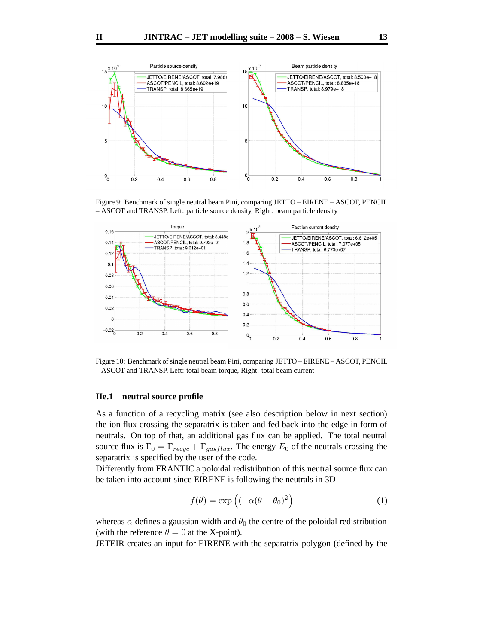

Figure 9: Benchmark of single neutral beam Pini, comparing JETTO – EIRENE – ASCOT, PENCIL – ASCOT and TRANSP. Left: particle source density, Right: beam particle density



Figure 10: Benchmark of single neutral beam Pini, comparing JETTO – EIRENE – ASCOT, PENCIL – ASCOT and TRANSP. Left: total beam torque, Right: total beam current

#### **IIe.1 neutral source profile**

As a function of a recycling matrix (see also description below in next section) the ion flux crossing the separatrix is taken and fed back into the edge in form of neutrals. On top of that, an additional gas flux can be applied. The total neutral source flux is  $\Gamma_0 = \Gamma_{recyc} + \Gamma_{gasflux}$ . The energy  $E_0$  of the neutrals crossing the separatrix is specified by the user of the code.

Differently from FRANTIC a poloidal redistribution of this neutral source flux can be taken into account since EIRENE is following the neutrals in 3D

$$
f(\theta) = \exp\left((-\alpha(\theta - \theta_0)^2\right) \tag{1}
$$

whereas  $\alpha$  defines a gaussian width and  $\theta_0$  the centre of the poloidal redistribution (with the reference  $\theta = 0$  at the X-point).

JETEIR creates an input for EIRENE with the separatrix polygon (defined by the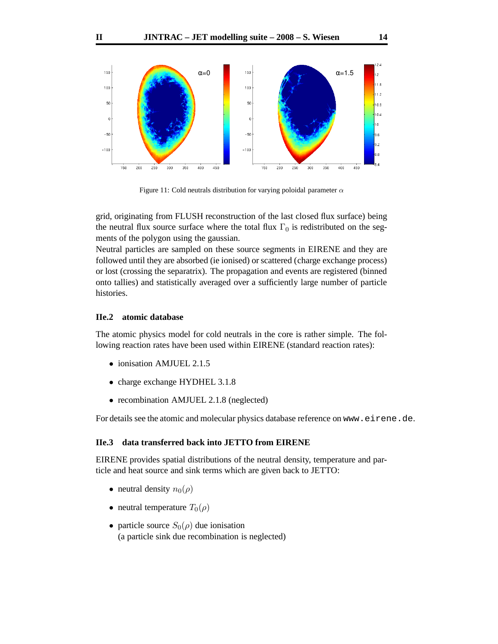

Figure 11: Cold neutrals distribution for varying poloidal parameter  $\alpha$ 

grid, originating from FLUSH reconstruction of the last closed flux surface) being the neutral flux source surface where the total flux  $\Gamma_0$  is redistributed on the segments of the polygon using the gaussian.

Neutral particles are sampled on these source segments in EIRENE and they are followed until they are absorbed (ie ionised) or scattered (charge exchange process) or lost (crossing the separatrix). The propagation and events are registered (binned onto tallies) and statistically averaged over a sufficiently large number of particle histories.

## **IIe.2 atomic database**

The atomic physics model for cold neutrals in the core is rather simple. The following reaction rates have been used within EIRENE (standard reaction rates):

- ionisation AMJUEL 2.1.5
- charge exchange HYDHEL 3.1.8
- recombination AMJUEL 2.1.8 (neglected)

For details see the atomic and molecular physics database reference on www.eirene.de.

### **IIe.3 data transferred back into JETTO from EIRENE**

EIRENE provides spatial distributions of the neutral density, temperature and particle and heat source and sink terms which are given back to JETTO:

- neutral density  $n_0(\rho)$
- neutral temperature  $T_0(\rho)$
- particle source  $S_0(\rho)$  due ionisation (a particle sink due recombination is neglected)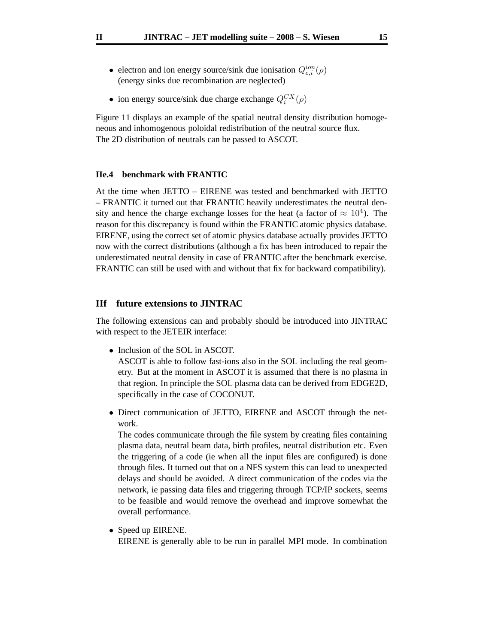- electron and ion energy source/sink due ionisation  $Q_{e,i}^{ion}(\rho)$ (energy sinks due recombination are neglected)
- ion energy source/sink due charge exchange  $Q_i^{CX}(\rho)$

Figure 11 displays an example of the spatial neutral density distribution homogeneous and inhomogenous poloidal redistribution of the neutral source flux. The 2D distribution of neutrals can be passed to ASCOT.

## **IIe.4 benchmark with FRANTIC**

At the time when JETTO – EIRENE was tested and benchmarked with JETTO – FRANTIC it turned out that FRANTIC heavily underestimates the neutral density and hence the charge exchange losses for the heat (a factor of  $\approx 10^4$ ). The reason for this discrepancy is found within the FRANTIC atomic physics database. EIRENE, using the correct set of atomic physics database actually provides JETTO now with the correct distributions (although a fix has been introduced to repair the underestimated neutral density in case of FRANTIC after the benchmark exercise. FRANTIC can still be used with and without that fix for backward compatibility).

# **IIf future extensions to JINTRAC**

The following extensions can and probably should be introduced into JINTRAC with respect to the JETEIR interface:

• Inclusion of the SOL in ASCOT.

ASCOT is able to follow fast-ions also in the SOL including the real geometry. But at the moment in ASCOT it is assumed that there is no plasma in that region. In principle the SOL plasma data can be derived from EDGE2D, specifically in the case of COCONUT.

• Direct communication of JETTO, EIRENE and ASCOT through the network.

The codes communicate through the file system by creating files containing plasma data, neutral beam data, birth profiles, neutral distribution etc. Even the triggering of a code (ie when all the input files are configured) is done through files. It turned out that on a NFS system this can lead to unexpected delays and should be avoided. A direct communication of the codes via the network, ie passing data files and triggering through TCP/IP sockets, seems to be feasible and would remove the overhead and improve somewhat the overall performance.

• Speed up EIRENE. EIRENE is generally able to be run in parallel MPI mode. In combination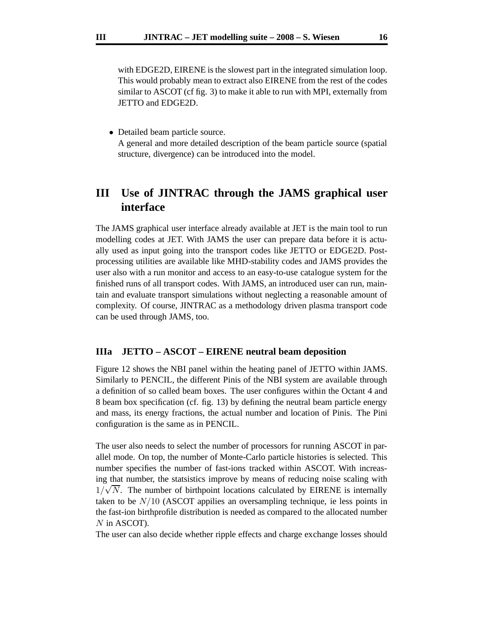with EDGE2D, EIRENE is the slowest part in the integrated simulation loop. This would probably mean to extract also EIRENE from the rest of the codes similar to ASCOT (cf fig. 3) to make it able to run with MPI, externally from JETTO and EDGE2D.

• Detailed beam particle source. A general and more detailed description of the beam particle source (spatial structure, divergence) can be introduced into the model.

# **III Use of JINTRAC through the JAMS graphical user interface**

The JAMS graphical user interface already available at JET is the main tool to run modelling codes at JET. With JAMS the user can prepare data before it is actually used as input going into the transport codes like JETTO or EDGE2D. Postprocessing utilities are available like MHD-stability codes and JAMS provides the user also with a run monitor and access to an easy-to-use catalogue system for the finished runs of all transport codes. With JAMS, an introduced user can run, maintain and evaluate transport simulations without neglecting a reasonable amount of complexity. Of course, JINTRAC as a methodology driven plasma transport code can be used through JAMS, too.

### **IIIa JETTO – ASCOT – EIRENE neutral beam deposition**

Figure 12 shows the NBI panel within the heating panel of JETTO within JAMS. Similarly to PENCIL, the different Pinis of the NBI system are available through a definition of so called beam boxes. The user configures within the Octant 4 and 8 beam box specification (cf. fig. 13) by defining the neutral beam particle energy and mass, its energy fractions, the actual number and location of Pinis. The Pini configuration is the same as in PENCIL.

The user also needs to select the number of processors for running ASCOT in parallel mode. On top, the number of Monte-Carlo particle histories is selected. This number specifies the number of fast-ions tracked within ASCOT. With increasing that number, the statsistics improve by means of reducing noise scaling with  $1/\sqrt{N}$ . The number of birthpoint locations calculated by EIRENE is internally taken to be  $N/10$  (ASCOT appilies an oversampling technique, ie less points in the fast-ion birthprofile distribution is needed as compared to the allocated number N in ASCOT).

The user can also decide whether ripple effects and charge exchange losses should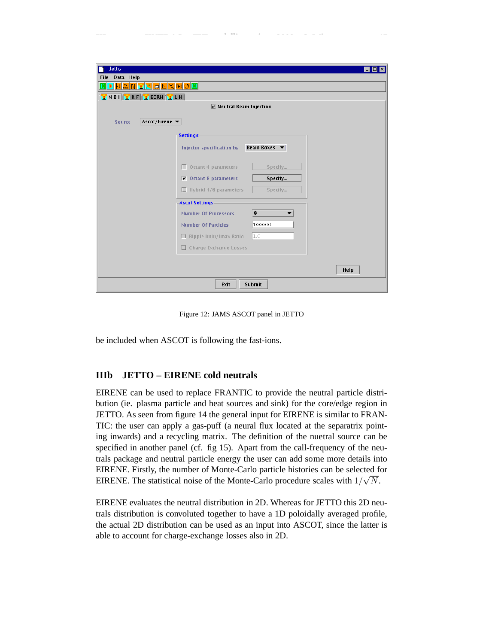| <b>Jetto</b><br>同                         |  |  |  |  |  |  |
|-------------------------------------------|--|--|--|--|--|--|
| File Data Help                            |  |  |  |  |  |  |
| <u>▶⋈नाल अपना लाइला अपने अ</u>            |  |  |  |  |  |  |
| <b>ENBILERF</b> ECRH ELH                  |  |  |  |  |  |  |
| $\nu$ Neutral Beam Injection              |  |  |  |  |  |  |
| Ascot/Eirene ▼<br><b>Source</b>           |  |  |  |  |  |  |
| -Settings-                                |  |  |  |  |  |  |
| Beam Boxes v<br>Injector specification by |  |  |  |  |  |  |
| $\Box$ Octant 4 parameters<br>Specify     |  |  |  |  |  |  |
| $\Box$ Octant 8 parameters<br>Specify     |  |  |  |  |  |  |
| $\Box$ Hybrid 4/8 parameters<br>Specify   |  |  |  |  |  |  |
| -Ascot Settings-                          |  |  |  |  |  |  |
| ${\bf 8}$<br><b>Number Of Processors</b>  |  |  |  |  |  |  |
| 100000<br><b>Number Of Particles</b>      |  |  |  |  |  |  |
| 1.0<br>$\Box$ Ripple Imin/Imax Ratio      |  |  |  |  |  |  |
| □ Charge Exchange Losses                  |  |  |  |  |  |  |
|                                           |  |  |  |  |  |  |
| <b>Help</b>                               |  |  |  |  |  |  |
| Exit<br><b>Submit</b>                     |  |  |  |  |  |  |

Figure 12: JAMS ASCOT panel in JETTO

be included when ASCOT is following the fast-ions.

# **IIIb JETTO – EIRENE cold neutrals**

EIRENE can be used to replace FRANTIC to provide the neutral particle distribution (ie. plasma particle and heat sources and sink) for the core/edge region in JETTO. As seen from figure 14 the general input for EIRENE is similar to FRAN-TIC: the user can apply a gas-puff (a neural flux located at the separatrix pointing inwards) and a recycling matrix. The definition of the nuetral source can be specified in another panel (cf. fig 15). Apart from the call-frequency of the neutrals package and neutral particle energy the user can add some more details into EIRENE. Firstly, the number of Monte-Carlo particle histories can be selected for EIRENE. The statistical noise of the Monte-Carlo procedure scales with  $1/\sqrt{N}$ .

EIRENE evaluates the neutral distribution in 2D. Whereas for JETTO this 2D neutrals distribution is convoluted together to have a 1D poloidally averaged profile, the actual 2D distribution can be used as an input into ASCOT, since the latter is able to account for charge-exchange losses also in 2D.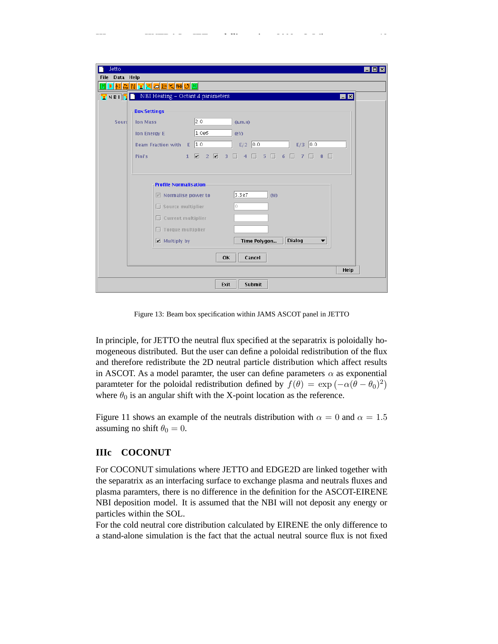| <b>Jetto</b>                 | - 10                                                                                                           |  |  |  |  |  |  |
|------------------------------|----------------------------------------------------------------------------------------------------------------|--|--|--|--|--|--|
| File Data Help               | <u>▶<mark>ハ</mark>▙</u> N <del>∡</del> ଯଇ⊡ସ™◯®                                                                 |  |  |  |  |  |  |
| INBIN                        | NBI Heating - Octant 4 parameters<br>$\blacksquare$<br>l 1                                                     |  |  |  |  |  |  |
|                              | <b>Box Settings</b>                                                                                            |  |  |  |  |  |  |
| Sourc                        | 2.0<br><b>Ion Mass</b><br>(a.m.u)                                                                              |  |  |  |  |  |  |
|                              | 1.0e6<br><b>Ion Energy E</b><br>$($ e $V$                                                                      |  |  |  |  |  |  |
|                              | Beam Fraction with E 1.0<br>0.0<br> 0,0 <br>E/2<br>E/3                                                         |  |  |  |  |  |  |
|                              | $1 \times 2 \times$<br>$5\ \square$<br>$3 \square 4 \square$<br>$7\Box$<br>$8$ $\Box$<br>Pini's<br>6<br>$\Box$ |  |  |  |  |  |  |
|                              |                                                                                                                |  |  |  |  |  |  |
| <b>Profile Normalisation</b> |                                                                                                                |  |  |  |  |  |  |
|                              | 3.3e7<br>$\boxdot$ Normalise power to<br>(W)                                                                   |  |  |  |  |  |  |
|                              | l0.<br>$\Box$ Source multiplier                                                                                |  |  |  |  |  |  |
|                              | $\Box$ Current multiplier                                                                                      |  |  |  |  |  |  |
|                              | $\Box$ Torque multiplier                                                                                       |  |  |  |  |  |  |
|                              | <b>Dialog</b><br>$\boxed{\mathbf{z}}$ Multiply by<br>Time Polygon<br>$\overline{\phantom{a}}$                  |  |  |  |  |  |  |
|                              | 0K<br>Cancel                                                                                                   |  |  |  |  |  |  |
|                              | Help                                                                                                           |  |  |  |  |  |  |
|                              | <b>Submit</b><br>Exit                                                                                          |  |  |  |  |  |  |

Figure 13: Beam box specification within JAMS ASCOT panel in JETTO

In principle, for JETTO the neutral flux specified at the separatrix is poloidally homogeneous distributed. But the user can define a poloidal redistribution of the flux and therefore redistribute the 2D neutral particle distribution which affect results in ASCOT. As a model paramter, the user can define parameters  $\alpha$  as exponential paramteter for the poloidal redistribution defined by  $f(\theta) = \exp(-\alpha(\theta - \theta_0)^2)$ where  $\theta_0$  is an angular shift with the X-point location as the reference.

Figure 11 shows an example of the neutrals distribution with  $\alpha = 0$  and  $\alpha = 1.5$ assuming no shift  $\theta_0 = 0$ .

# **IIIc COCONUT**

For COCONUT simulations where JETTO and EDGE2D are linked together with the separatrix as an interfacing surface to exchange plasma and neutrals fluxes and plasma paramters, there is no difference in the definition for the ASCOT-EIRENE NBI deposition model. It is assumed that the NBI will not deposit any energy or particles within the SOL.

For the cold neutral core distribution calculated by EIRENE the only difference to a stand-alone simulation is the fact that the actual neutral source flux is not fixed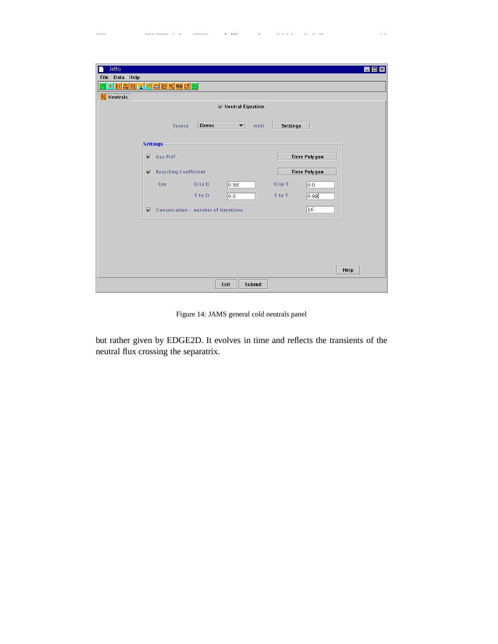| Jetto                             |                                     |               |                      |               |                 |                     | $\blacksquare$ $\blacksquare$ $\blacksquare$ |
|-----------------------------------|-------------------------------------|---------------|----------------------|---------------|-----------------|---------------------|----------------------------------------------|
| File Data Help                    |                                     |               |                      |               |                 |                     |                                              |
| <u>MHAN¥XA⊡KIMO</u>               |                                     |               |                      |               |                 |                     |                                              |
| N Neutrals                        |                                     |               |                      |               |                 |                     |                                              |
| $\triangleright$ Neutral Equation |                                     |               |                      |               |                 |                     |                                              |
|                                   | <b>Source</b>                       | <b>Eirene</b> | $\blacktriangledown$ | with          | <b>Settings</b> |                     |                                              |
|                                   | $\mathsf{F}$ Settings-              |               |                      |               |                 |                     |                                              |
| $\overline{\mathbf{v}}$           | <b>Gas Puff</b>                     |               |                      |               |                 | <b>Time Polygon</b> |                                              |
| $\overline{\mathbf{v}}$           | <b>Recycling Coefficient</b>        |               |                      |               |                 | <b>Time Polygon</b> |                                              |
|                                   | <b>lon</b>                          | D to D        | 0.98                 |               | D to T          | 0.0                 |                                              |
|                                   |                                     | T to D        | 0.0                  |               | T to T          | 0.98                |                                              |
| $\overline{\mathbf{v}}$           | Conservation - number of iterations |               |                      |               |                 | 16                  |                                              |
|                                   |                                     |               |                      |               |                 |                     |                                              |
|                                   |                                     |               |                      |               |                 |                     |                                              |
|                                   |                                     |               |                      |               |                 |                     |                                              |
|                                   |                                     |               |                      |               |                 |                     |                                              |
|                                   |                                     |               |                      |               |                 |                     | Help                                         |
|                                   |                                     | Exit          |                      | <b>Submit</b> |                 |                     |                                              |

Figure 14: JAMS general cold neutrals panel

but rather given by EDGE2D. It evolves in time and reflects the transients of the neutral flux crossing the separatrix.